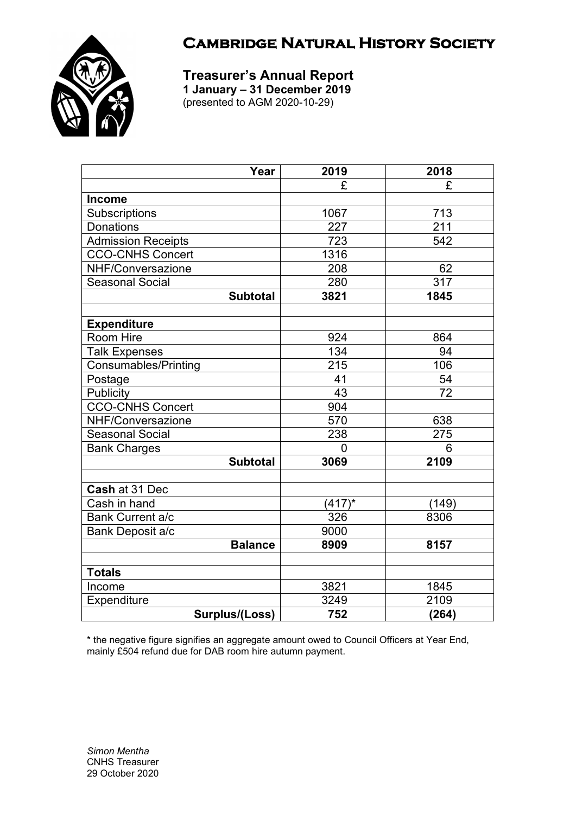



**Treasurer's Annual Report 1 January – 31 December 2019** (presented to AGM 2020-10-29)

| Year                        | 2019      | 2018  |
|-----------------------------|-----------|-------|
|                             | £         | £     |
| <b>Income</b>               |           |       |
| Subscriptions               | 1067      | 713   |
| <b>Donations</b>            | 227       | 211   |
| <b>Admission Receipts</b>   | 723       | 542   |
| <b>CCO-CNHS Concert</b>     | 1316      |       |
| NHF/Conversazione           | 208       | 62    |
| <b>Seasonal Social</b>      | 280       | 317   |
| <b>Subtotal</b>             | 3821      | 1845  |
|                             |           |       |
| <b>Expenditure</b>          |           |       |
| Room Hire                   | 924       | 864   |
| <b>Talk Expenses</b>        | 134       | 94    |
| <b>Consumables/Printing</b> | 215       | 106   |
| Postage                     | 41        | 54    |
| <b>Publicity</b>            | 43        | 72    |
| CCO-CNHS Concert            | 904       |       |
| NHF/Conversazione           | 570       | 638   |
| <b>Seasonal Social</b>      | 238       | 275   |
| <b>Bank Charges</b>         | 0         | 6     |
| <b>Subtotal</b>             | 3069      | 2109  |
|                             |           |       |
| Cash at 31 Dec              |           |       |
| Cash in hand                | $(417)^*$ | (149) |
| <b>Bank Current a/c</b>     | 326       | 8306  |
| Bank Deposit a/c            | 9000      |       |
| <b>Balance</b>              | 8909      | 8157  |
|                             |           |       |
| <b>Totals</b>               |           |       |
| Income                      | 3821      | 1845  |
| Expenditure                 | 3249      | 2109  |
| Surplus/(Loss)              | 752       | (264) |

\* the negative figure signifies an aggregate amount owed to Council Officers at Year End, mainly £504 refund due for DAB room hire autumn payment.